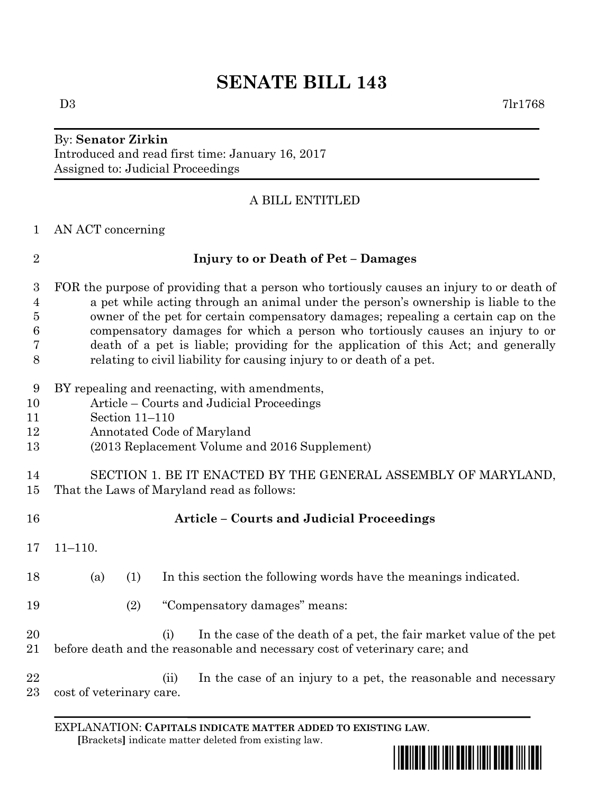# **SENATE BILL 143**

#### By: **Senator Zirkin** Introduced and read first time: January 16, 2017 Assigned to: Judicial Proceedings

### A BILL ENTITLED

#### AN ACT concerning

#### **Injury to or Death of Pet – Damages**

 FOR the purpose of providing that a person who tortiously causes an injury to or death of a pet while acting through an animal under the person's ownership is liable to the owner of the pet for certain compensatory damages; repealing a certain cap on the compensatory damages for which a person who tortiously causes an injury to or death of a pet is liable; providing for the application of this Act; and generally relating to civil liability for causing injury to or death of a pet.

- BY repealing and reenacting, with amendments,
- Article Courts and Judicial Proceedings
- Section 11–110
- Annotated Code of Maryland
- (2013 Replacement Volume and 2016 Supplement)

#### SECTION 1. BE IT ENACTED BY THE GENERAL ASSEMBLY OF MARYLAND, That the Laws of Maryland read as follows:

| 16           |                          |     |      | <b>Article</b> – Courts and Judicial Proceedings                                                                                                  |
|--------------|--------------------------|-----|------|---------------------------------------------------------------------------------------------------------------------------------------------------|
| 17           | $11 - 110.$              |     |      |                                                                                                                                                   |
| 18           | (a)                      | (1) |      | In this section the following words have the meanings indicated.                                                                                  |
| 19           |                          | (2) |      | "Compensatory damages" means:                                                                                                                     |
| 20<br>21     |                          |     | (i)  | In the case of the death of a pet, the fair market value of the pet<br>before death and the reasonable and necessary cost of veterinary care; and |
| 22<br>$23\,$ | cost of veterinary care. |     | (ii) | In the case of an injury to a pet, the reasonable and necessary                                                                                   |

## EXPLANATION: **CAPITALS INDICATE MATTER ADDED TO EXISTING LAW**.

 **[**Brackets**]** indicate matter deleted from existing law.